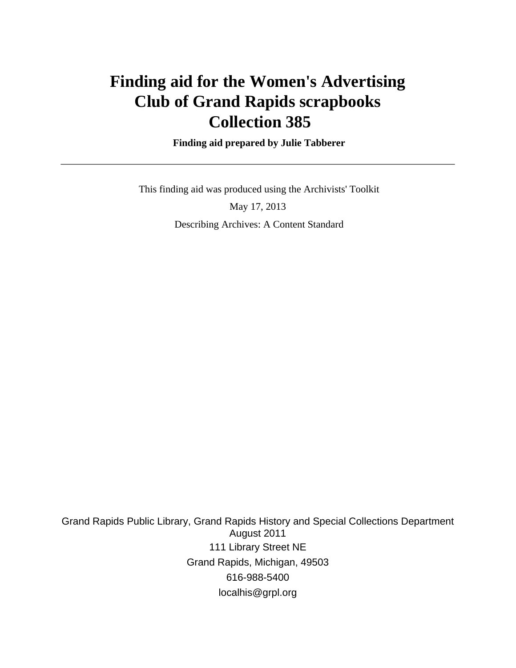# **Finding aid for the Women's Advertising Club of Grand Rapids scrapbooks Collection 385**

 **Finding aid prepared by Julie Tabberer**

This finding aid was produced using the Archivists' Toolkit

May 17, 2013 Describing Archives: A Content Standard

Grand Rapids Public Library, Grand Rapids History and Special Collections Department August 2011 111 Library Street NE Grand Rapids, Michigan, 49503 616-988-5400 localhis@grpl.org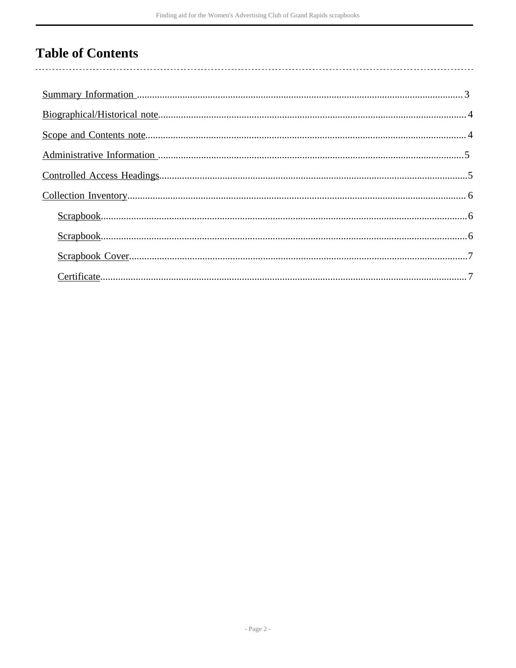## **Table of Contents**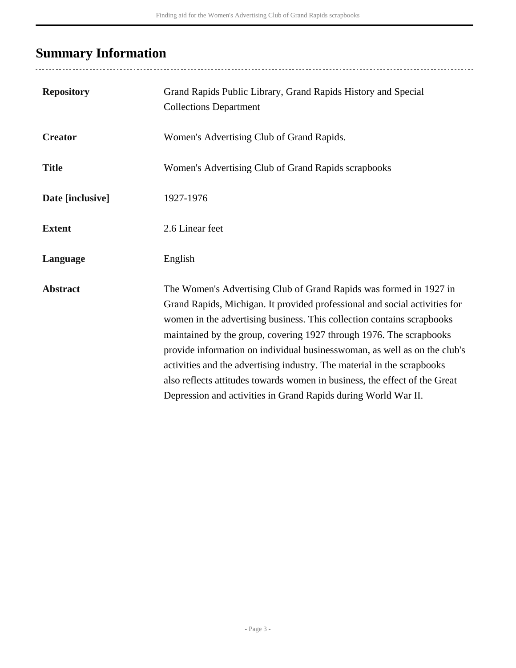## <span id="page-2-0"></span>**Summary Information**

| <b>Repository</b> | Grand Rapids Public Library, Grand Rapids History and Special<br><b>Collections Department</b>                                                                                                                                                                                                                                                                                                                                                                                                                                                                                                            |
|-------------------|-----------------------------------------------------------------------------------------------------------------------------------------------------------------------------------------------------------------------------------------------------------------------------------------------------------------------------------------------------------------------------------------------------------------------------------------------------------------------------------------------------------------------------------------------------------------------------------------------------------|
| <b>Creator</b>    | Women's Advertising Club of Grand Rapids.                                                                                                                                                                                                                                                                                                                                                                                                                                                                                                                                                                 |
| <b>Title</b>      | Women's Advertising Club of Grand Rapids scrapbooks                                                                                                                                                                                                                                                                                                                                                                                                                                                                                                                                                       |
| Date [inclusive]  | 1927-1976                                                                                                                                                                                                                                                                                                                                                                                                                                                                                                                                                                                                 |
| <b>Extent</b>     | 2.6 Linear feet                                                                                                                                                                                                                                                                                                                                                                                                                                                                                                                                                                                           |
| Language          | English                                                                                                                                                                                                                                                                                                                                                                                                                                                                                                                                                                                                   |
| <b>Abstract</b>   | The Women's Advertising Club of Grand Rapids was formed in 1927 in<br>Grand Rapids, Michigan. It provided professional and social activities for<br>women in the advertising business. This collection contains scrapbooks<br>maintained by the group, covering 1927 through 1976. The scrapbooks<br>provide information on individual businesswoman, as well as on the club's<br>activities and the advertising industry. The material in the scrapbooks<br>also reflects attitudes towards women in business, the effect of the Great<br>Depression and activities in Grand Rapids during World War II. |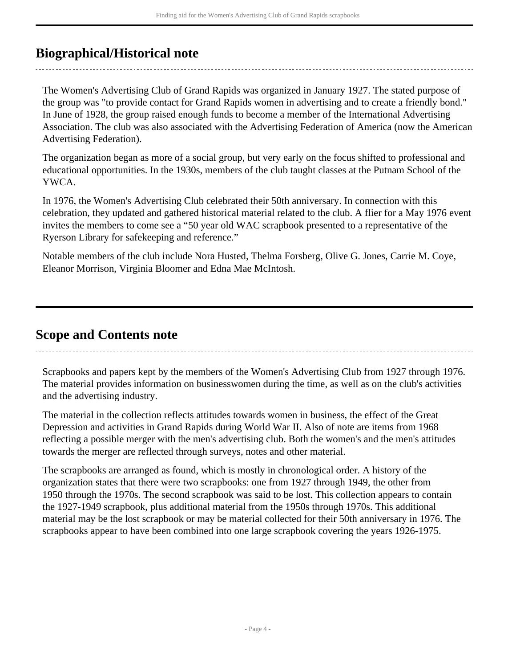### <span id="page-3-0"></span>**Biographical/Historical note**

The Women's Advertising Club of Grand Rapids was organized in January 1927. The stated purpose of the group was "to provide contact for Grand Rapids women in advertising and to create a friendly bond." In June of 1928, the group raised enough funds to become a member of the International Advertising Association. The club was also associated with the Advertising Federation of America (now the American Advertising Federation).

The organization began as more of a social group, but very early on the focus shifted to professional and educational opportunities. In the 1930s, members of the club taught classes at the Putnam School of the YWCA.

In 1976, the Women's Advertising Club celebrated their 50th anniversary. In connection with this celebration, they updated and gathered historical material related to the club. A flier for a May 1976 event invites the members to come see a "50 year old WAC scrapbook presented to a representative of the Ryerson Library for safekeeping and reference."

Notable members of the club include Nora Husted, Thelma Forsberg, Olive G. Jones, Carrie M. Coye, Eleanor Morrison, Virginia Bloomer and Edna Mae McIntosh.

### <span id="page-3-1"></span>**Scope and Contents note**

Scrapbooks and papers kept by the members of the Women's Advertising Club from 1927 through 1976. The material provides information on businesswomen during the time, as well as on the club's activities and the advertising industry.

The material in the collection reflects attitudes towards women in business, the effect of the Great Depression and activities in Grand Rapids during World War II. Also of note are items from 1968 reflecting a possible merger with the men's advertising club. Both the women's and the men's attitudes towards the merger are reflected through surveys, notes and other material.

The scrapbooks are arranged as found, which is mostly in chronological order. A history of the organization states that there were two scrapbooks: one from 1927 through 1949, the other from 1950 through the 1970s. The second scrapbook was said to be lost. This collection appears to contain the 1927-1949 scrapbook, plus additional material from the 1950s through 1970s. This additional material may be the lost scrapbook or may be material collected for their 50th anniversary in 1976. The scrapbooks appear to have been combined into one large scrapbook covering the years 1926-1975.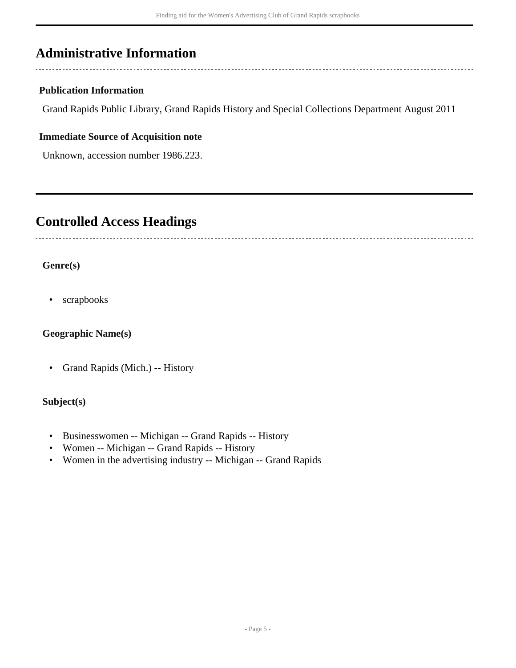### <span id="page-4-0"></span>**Administrative Information**

#### **Publication Information**

Grand Rapids Public Library, Grand Rapids History and Special Collections Department August 2011

#### **Immediate Source of Acquisition note**

Unknown, accession number 1986.223.

## <span id="page-4-1"></span>**Controlled Access Headings**

#### **Genre(s)**

• scrapbooks

#### **Geographic Name(s)**

• Grand Rapids (Mich.) -- History

#### **Subject(s)**

- Businesswomen -- Michigan -- Grand Rapids -- History
- Women -- Michigan -- Grand Rapids -- History
- Women in the advertising industry -- Michigan -- Grand Rapids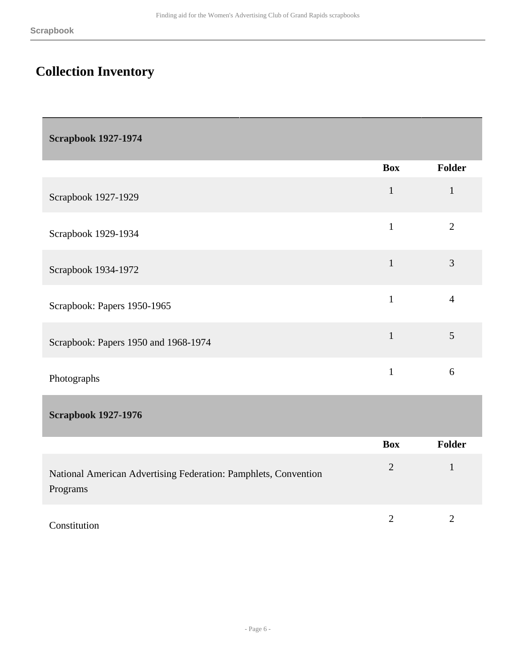## <span id="page-5-0"></span>**Collection Inventory**

<span id="page-5-1"></span>

|                                                                             | <b>Box</b>     | Folder         |
|-----------------------------------------------------------------------------|----------------|----------------|
| Scrapbook 1927-1929                                                         | $\mathbf{1}$   | $\mathbf{1}$   |
| Scrapbook 1929-1934                                                         | $\mathbf{1}$   | $\overline{2}$ |
| Scrapbook 1934-1972                                                         | $\mathbf{1}$   | 3              |
| Scrapbook: Papers 1950-1965                                                 | $\mathbf{1}$   | $\overline{4}$ |
| Scrapbook: Papers 1950 and 1968-1974                                        | $\mathbf{1}$   | 5              |
| Photographs                                                                 | $\mathbf{1}$   | 6              |
| <b>Scrapbook 1927-1976</b>                                                  |                |                |
|                                                                             | <b>Box</b>     | Folder         |
| National American Advertising Federation: Pamphlets, Convention<br>Programs | $\overline{2}$ | $\mathbf{1}$   |

<span id="page-5-2"></span>

| Constitution<br>. |  |  |
|-------------------|--|--|
|                   |  |  |